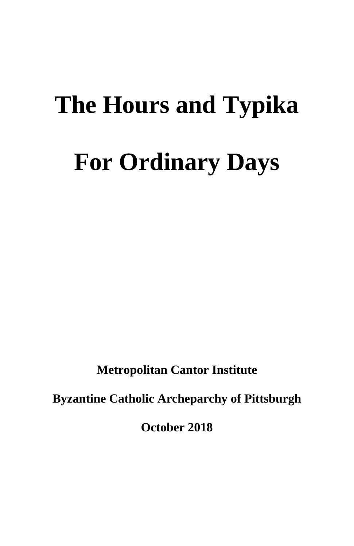# **The Hours and Typika For Ordinary Days**

**Metropolitan Cantor Institute**

**Byzantine Catholic Archeparchy of Pittsburgh**

**October 2018**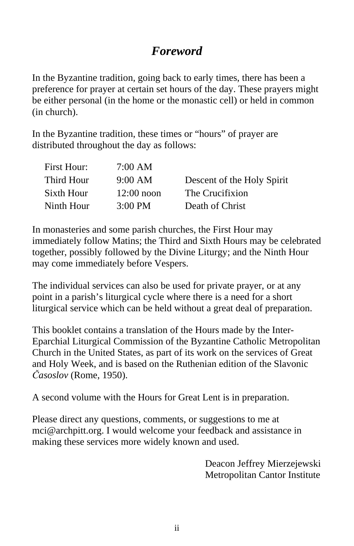# *Foreword*

In the Byzantine tradition, going back to early times, there has been a preference for prayer at certain set hours of the day. These prayers might be either personal (in the home or the monastic cell) or held in common (in church).

In the Byzantine tradition, these times or "hours" of prayer are distributed throughout the day as follows:

| First Hour: | 7:00 AM           |                            |
|-------------|-------------------|----------------------------|
| Third Hour  | $9:00 \text{ AM}$ | Descent of the Holy Spirit |
| Sixth Hour  | $12:00$ noon      | The Crucifixion            |
| Ninth Hour  | $3:00 \text{ PM}$ | Death of Christ            |

In monasteries and some parish churches, the First Hour may immediately follow Matins; the Third and Sixth Hours may be celebrated together, possibly followed by the Divine Liturgy; and the Ninth Hour may come immediately before Vespers.

The individual services can also be used for private prayer, or at any point in a parish's liturgical cycle where there is a need for a short liturgical service which can be held without a great deal of preparation.

This booklet contains a translation of the Hours made by the Inter-Eparchial Liturgical Commission of the Byzantine Catholic Metropolitan Church in the United States, as part of its work on the services of Great and Holy Week, and is based on the Ruthenian edition of the Slavonic *Časoslov* (Rome, 1950).

A second volume with the Hours for Great Lent is in preparation.

Please direct any questions, comments, or suggestions to me at mci@archpitt.org. I would welcome your feedback and assistance in making these services more widely known and used.

> Deacon Jeffrey Mierzejewski Metropolitan Cantor Institute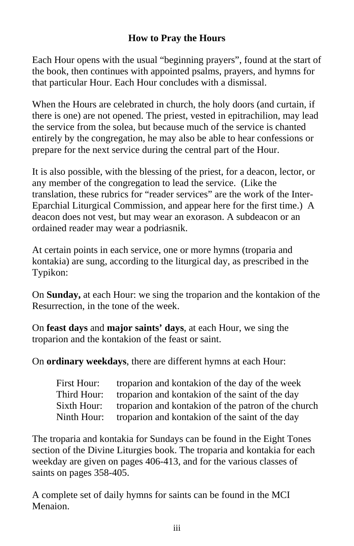## **How to Pray the Hours**

Each Hour opens with the usual "beginning prayers", found at the start of the book, then continues with appointed psalms, prayers, and hymns for that particular Hour. Each Hour concludes with a dismissal.

When the Hours are celebrated in church, the holy doors (and curtain, if there is one) are not opened. The priest, vested in epitrachilion, may lead the service from the solea, but because much of the service is chanted entirely by the congregation, he may also be able to hear confessions or prepare for the next service during the central part of the Hour.

It is also possible, with the blessing of the priest, for a deacon, lector, or any member of the congregation to lead the service. (Like the translation, these rubrics for "reader services" are the work of the Inter-Eparchial Liturgical Commission, and appear here for the first time.) A deacon does not vest, but may wear an exorason. A subdeacon or an ordained reader may wear a podriasnik.

At certain points in each service, one or more hymns (troparia and kontakia) are sung, according to the liturgical day, as prescribed in the Typikon:

On **Sunday,** at each Hour: we sing the troparion and the kontakion of the Resurrection, in the tone of the week.

On **feast days** and **major saints' days**, at each Hour, we sing the troparion and the kontakion of the feast or saint.

On **ordinary weekdays**, there are different hymns at each Hour:

| First Hour: | troparion and kontakion of the day of the week      |
|-------------|-----------------------------------------------------|
| Third Hour: | troparion and kontakion of the saint of the day     |
| Sixth Hour: | troparion and kontakion of the patron of the church |
| Ninth Hour: | troparion and kontakion of the saint of the day     |

The troparia and kontakia for Sundays can be found in the Eight Tones section of the Divine Liturgies book. The troparia and kontakia for each weekday are given on pages 406-413, and for the various classes of saints on pages 358-405.

A complete set of daily hymns for saints can be found in the MCI Menaion.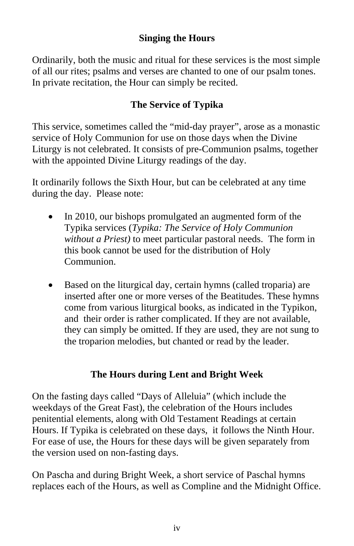## **Singing the Hours**

Ordinarily, both the music and ritual for these services is the most simple of all our rites; psalms and verses are chanted to one of our psalm tones. In private recitation, the Hour can simply be recited.

## **The Service of Typika**

This service, sometimes called the "mid-day prayer", arose as a monastic service of Holy Communion for use on those days when the Divine Liturgy is not celebrated. It consists of pre-Communion psalms, together with the appointed Divine Liturgy readings of the day.

It ordinarily follows the Sixth Hour, but can be celebrated at any time during the day. Please note:

- In 2010, our bishops promulgated an augmented form of the Typika services (*Typika: The Service of Holy Communion without a Priest)* to meet particular pastoral needs. The form in this book cannot be used for the distribution of Holy Communion.
- Based on the liturgical day, certain hymns (called troparia) are inserted after one or more verses of the Beatitudes. These hymns come from various liturgical books, as indicated in the Typikon, and their order is rather complicated. If they are not available, they can simply be omitted. If they are used, they are not sung to the troparion melodies, but chanted or read by the leader.

## **The Hours during Lent and Bright Week**

On the fasting days called "Days of Alleluia" (which include the weekdays of the Great Fast), the celebration of the Hours includes penitential elements, along with Old Testament Readings at certain Hours. If Typika is celebrated on these days, it follows the Ninth Hour. For ease of use, the Hours for these days will be given separately from the version used on non-fasting days.

On Pascha and during Bright Week, a short service of Paschal hymns replaces each of the Hours, as well as Compline and the Midnight Office.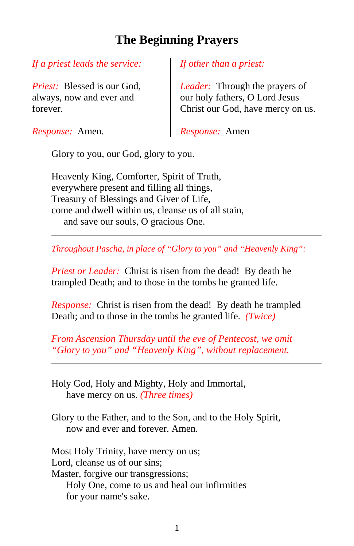# **The Beginning Prayers**

## *If a priest leads the service:*

*Priest:* Blessed is our God, always, now and ever and forever.

*Response:* Amen.

*If other than a priest:*

*Leader:* Through the prayers of our holy fathers, O Lord Jesus Christ our God, have mercy on us.

*Response:* Amen

Glory to you, our God, glory to you.

Heavenly King, Comforter, Spirit of Truth, everywhere present and filling all things, Treasury of Blessings and Giver of Life, come and dwell within us, cleanse us of all stain, and save our souls, O gracious One.

*Throughout Pascha, in place of "Glory to you" and "Heavenly King":*

*Priest or Leader:* Christ is risen from the dead! By death he trampled Death; and to those in the tombs he granted life.

*Response:* Christ is risen from the dead! By death he trampled Death; and to those in the tombs he granted life. *(Twice)*

*From Ascension Thursday until the eve of Pentecost, we omit "Glory to you" and "Heavenly King", without replacement.*

Holy God, Holy and Mighty, Holy and Immortal, have mercy on us. *(Three times)*

Glory to the Father, and to the Son, and to the Holy Spirit, now and ever and forever. Amen.

Most Holy Trinity, have mercy on us; Lord, cleanse us of our sins; Master, forgive our transgressions; Holy One, come to us and heal our infirmities for your name's sake.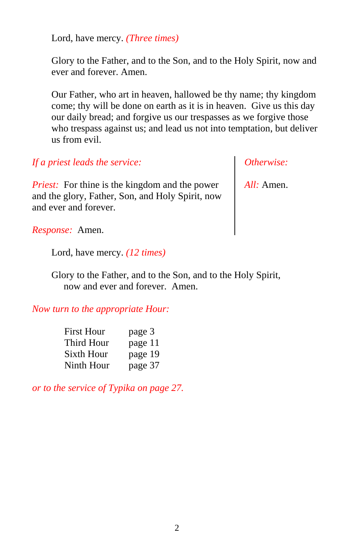Lord, have mercy. *(Three times)*

Glory to the Father, and to the Son, and to the Holy Spirit, now and ever and forever. Amen.

Our Father, who art in heaven, hallowed be thy name; thy kingdom come; thy will be done on earth as it is in heaven. Give us this day our daily bread; and forgive us our trespasses as we forgive those who trespass against us; and lead us not into temptation, but deliver us from evil.

*If a priest leads the service:*

*Priest:* For thine is the kingdom and the power and the glory, Father, Son, and Holy Spirit, now and ever and forever.

*Otherwise:*

*All:* Amen.

*Response:* Amen.

Lord, have mercy. *(12 times)*

Glory to the Father, and to the Son, and to the Holy Spirit, now and ever and forever. Amen.

*Now turn to the appropriate Hour:*

| First Hour | page 3  |
|------------|---------|
| Third Hour | page 11 |
| Sixth Hour | page 19 |
| Ninth Hour | page 37 |

*or to the service of Typika on page 27.*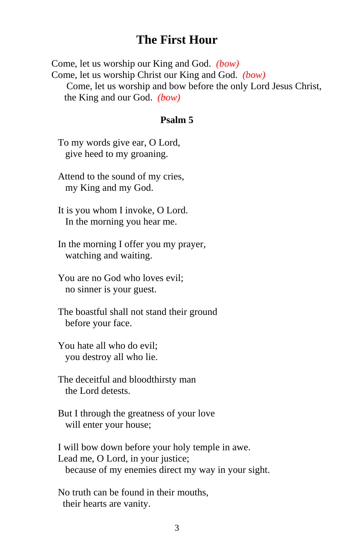## **The First Hour**

Come, let us worship our King and God. *(bow)* Come, let us worship Christ our King and God. *(bow)* Come, let us worship and bow before the only Lord Jesus Christ, the King and our God. *(bow)*

#### **Psalm 5**

To my words give ear, O Lord, give heed to my groaning.

Attend to the sound of my cries, my King and my God.

It is you whom I invoke, O Lord. In the morning you hear me.

In the morning I offer you my prayer, watching and waiting.

You are no God who loves evil; no sinner is your guest.

The boastful shall not stand their ground before your face.

You hate all who do evil; you destroy all who lie.

The deceitful and bloodthirsty man the Lord detests.

But I through the greatness of your love will enter your house;

I will bow down before your holy temple in awe. Lead me, O Lord, in your justice; because of my enemies direct my way in your sight.

No truth can be found in their mouths, their hearts are vanity.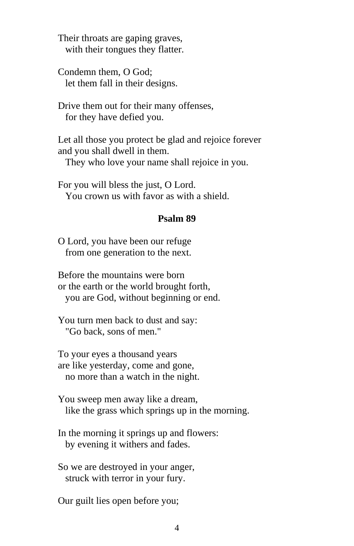Their throats are gaping graves, with their tongues they flatter.

Condemn them, O God; let them fall in their designs.

Drive them out for their many offenses, for they have defied you.

Let all those you protect be glad and rejoice forever and you shall dwell in them.

They who love your name shall rejoice in you.

For you will bless the just, O Lord. You crown us with favor as with a shield.

#### **Psalm 89**

O Lord, you have been our refuge from one generation to the next.

Before the mountains were born or the earth or the world brought forth, you are God, without beginning or end.

You turn men back to dust and say: "Go back, sons of men."

To your eyes a thousand years are like yesterday, come and gone, no more than a watch in the night.

You sweep men away like a dream, like the grass which springs up in the morning.

In the morning it springs up and flowers: by evening it withers and fades.

So we are destroyed in your anger, struck with terror in your fury.

Our guilt lies open before you;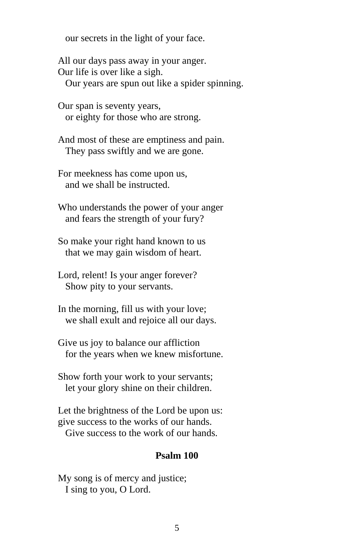our secrets in the light of your face.

All our days pass away in your anger. Our life is over like a sigh. Our years are spun out like a spider spinning.

Our span is seventy years, or eighty for those who are strong.

And most of these are emptiness and pain. They pass swiftly and we are gone.

For meekness has come upon us, and we shall be instructed.

Who understands the power of your anger and fears the strength of your fury?

So make your right hand known to us that we may gain wisdom of heart.

Lord, relent! Is your anger forever? Show pity to your servants.

In the morning, fill us with your love; we shall exult and rejoice all our days.

Give us joy to balance our affliction for the years when we knew misfortune.

Show forth your work to your servants; let your glory shine on their children.

Let the brightness of the Lord be upon us: give success to the works of our hands. Give success to the work of our hands.

#### **Psalm 100**

My song is of mercy and justice; I sing to you, O Lord.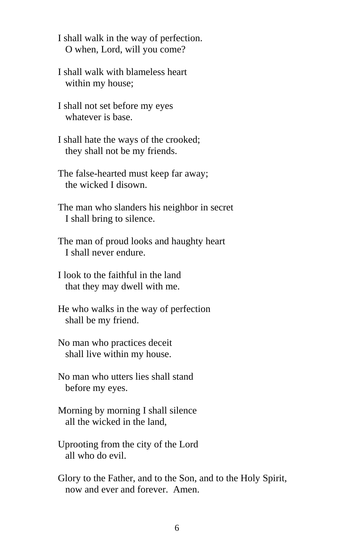I shall walk in the way of perfection. O when, Lord, will you come?

I shall walk with blameless heart within my house;

I shall not set before my eyes whatever is base.

I shall hate the ways of the crooked; they shall not be my friends.

The false-hearted must keep far away; the wicked I disown.

The man who slanders his neighbor in secret I shall bring to silence.

The man of proud looks and haughty heart I shall never endure.

I look to the faithful in the land that they may dwell with me.

He who walks in the way of perfection shall be my friend.

No man who practices deceit shall live within my house.

No man who utters lies shall stand before my eyes.

Morning by morning I shall silence all the wicked in the land,

Uprooting from the city of the Lord all who do evil.

Glory to the Father, and to the Son, and to the Holy Spirit, now and ever and forever. Amen.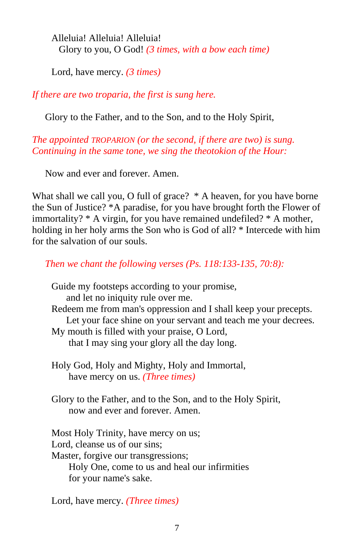Alleluia! Alleluia! Alleluia! Glory to you, O God! *(3 times, with a bow each time)*

Lord, have mercy. *(3 times)*

*If there are two troparia, the first is sung here.*

Glory to the Father, and to the Son, and to the Holy Spirit,

*The appointed TROPARION (or the second, if there are two) is sung. Continuing in the same tone, we sing the theotokion of the Hour:*

Now and ever and forever. Amen.

What shall we call you, O full of grace? \* A heaven, for you have borne the Sun of Justice? \*A paradise, for you have brought forth the Flower of immortality? \* A virgin, for you have remained undefiled? \* A mother, holding in her holy arms the Son who is God of all? \* Intercede with him for the salvation of our souls.

*Then we chant the following verses (Ps. 118:133-135, 70:8):*

Guide my footsteps according to your promise, and let no iniquity rule over me. Redeem me from man's oppression and I shall keep your precepts. Let your face shine on your servant and teach me your decrees. My mouth is filled with your praise, O Lord, that I may sing your glory all the day long. Holy God, Holy and Mighty, Holy and Immortal, have mercy on us. *(Three times)* Glory to the Father, and to the Son, and to the Holy Spirit, now and ever and forever. Amen. Most Holy Trinity, have mercy on us; Lord, cleanse us of our sins; Master, forgive our transgressions; Holy One, come to us and heal our infirmities for your name's sake.

Lord, have mercy. *(Three times)*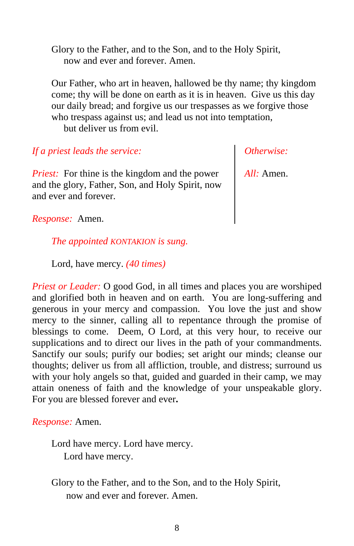Glory to the Father, and to the Son, and to the Holy Spirit, now and ever and forever. Amen.

Our Father, who art in heaven, hallowed be thy name; thy kingdom come; thy will be done on earth as it is in heaven. Give us this day our daily bread; and forgive us our trespasses as we forgive those who trespass against us; and lead us not into temptation, but deliver us from evil.

*If a priest leads the service:*

*Priest:* For thine is the kingdom and the power and the glory, Father, Son, and Holy Spirit, now and ever and forever.

*Otherwise:*

*All:* Amen.

*Response:* Amen.

*The appointed KONTAKION is sung.*

Lord, have mercy. *(40 times)*

*Priest or Leader:* O good God, in all times and places you are worshiped and glorified both in heaven and on earth. You are long-suffering and generous in your mercy and compassion. You love the just and show mercy to the sinner, calling all to repentance through the promise of blessings to come. Deem, O Lord, at this very hour, to receive our supplications and to direct our lives in the path of your commandments. Sanctify our souls; purify our bodies; set aright our minds; cleanse our thoughts; deliver us from all affliction, trouble, and distress; surround us with your holy angels so that, guided and guarded in their camp, we may attain oneness of faith and the knowledge of your unspeakable glory. For you are blessed forever and ever**.**

*Response:* Amen.

Lord have mercy. Lord have mercy. Lord have mercy.

Glory to the Father, and to the Son, and to the Holy Spirit, now and ever and forever. Amen.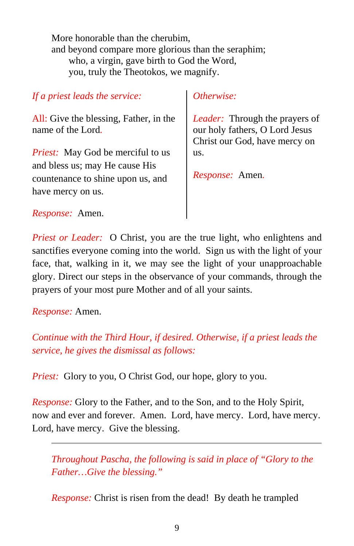More honorable than the cherubim, and beyond compare more glorious than the seraphim; who, a virgin, gave birth to God the Word, you, truly the Theotokos, we magnify.

*If a priest leads the service:* All: Give the blessing, Father, in the name of the Lord*. Priest:* May God be merciful to us and bless us; may He cause His countenance to shine upon us, and have mercy on us. *Response:* Amen. *Otherwise: Leader:* Through the prayers of our holy fathers, O Lord Jesus Christ our God, have mercy on us. *Response:* Amen*.*

*Priest or Leader:* O Christ, you are the true light, who enlightens and sanctifies everyone coming into the world. Sign us with the light of your face, that, walking in it, we may see the light of your unapproachable glory. Direct our steps in the observance of your commands, through the prayers of your most pure Mother and of all your saints.

*Response:* Amen.

*Continue with the Third Hour, if desired. Otherwise, if a priest leads the service, he gives the dismissal as follows:*

*Priest:* Glory to you, O Christ God, our hope, glory to you.

*Response:* Glory to the Father, and to the Son, and to the Holy Spirit, now and ever and forever. Amen. Lord, have mercy. Lord, have mercy. Lord, have mercy. Give the blessing.

*Throughout Pascha, the following is said in place of "Glory to the Father…Give the blessing."* 

*Response:* Christ is risen from the dead! By death he trampled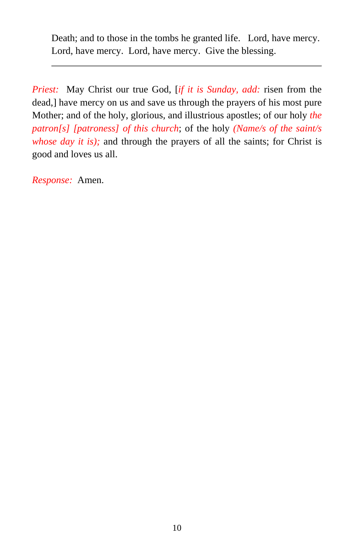Death; and to those in the tombs he granted life. Lord, have mercy. Lord, have mercy. Lord, have mercy. Give the blessing.

*Priest:* May Christ our true God, [*if it is Sunday, add:* risen from the dead,] have mercy on us and save us through the prayers of his most pure Mother; and of the holy, glorious, and illustrious apostles; of our holy *the patron[s] [patroness] of this church*; of the holy *(Name/s of the saint/s whose day it is)*; and through the prayers of all the saints; for Christ is good and loves us all.

*Response:* Amen.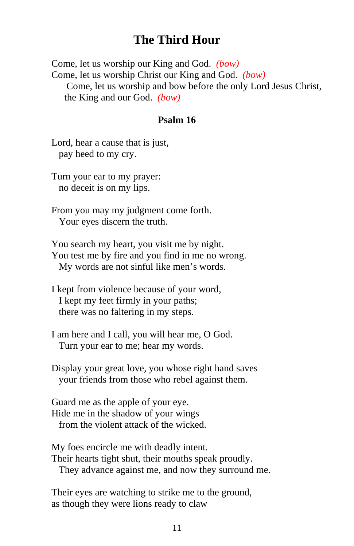## **The Third Hour**

Come, let us worship our King and God. *(bow)* Come, let us worship Christ our King and God. *(bow)* Come, let us worship and bow before the only Lord Jesus Christ, the King and our God. *(bow)*

#### **Psalm 16**

Lord, hear a cause that is just, pay heed to my cry.

Turn your ear to my prayer: no deceit is on my lips.

From you may my judgment come forth. Your eyes discern the truth.

You search my heart, you visit me by night. You test me by fire and you find in me no wrong. My words are not sinful like men's words.

I kept from violence because of your word, I kept my feet firmly in your paths; there was no faltering in my steps.

I am here and I call, you will hear me, O God. Turn your ear to me; hear my words.

Display your great love, you whose right hand saves your friends from those who rebel against them.

Guard me as the apple of your eye. Hide me in the shadow of your wings from the violent attack of the wicked.

My foes encircle me with deadly intent. Their hearts tight shut, their mouths speak proudly. They advance against me, and now they surround me.

Their eyes are watching to strike me to the ground, as though they were lions ready to claw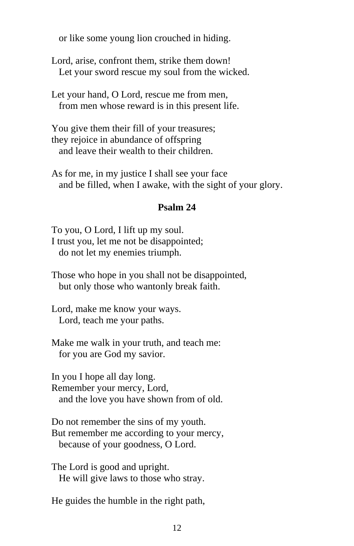or like some young lion crouched in hiding.

Lord, arise, confront them, strike them down! Let your sword rescue my soul from the wicked.

Let your hand, O Lord, rescue me from men, from men whose reward is in this present life.

You give them their fill of your treasures; they rejoice in abundance of offspring and leave their wealth to their children.

As for me, in my justice I shall see your face and be filled, when I awake, with the sight of your glory.

## **Psalm 24**

To you, O Lord, I lift up my soul. I trust you, let me not be disappointed; do not let my enemies triumph.

Those who hope in you shall not be disappointed, but only those who wantonly break faith.

Lord, make me know your ways. Lord, teach me your paths.

Make me walk in your truth, and teach me: for you are God my savior.

In you I hope all day long. Remember your mercy, Lord, and the love you have shown from of old.

Do not remember the sins of my youth. But remember me according to your mercy, because of your goodness, O Lord.

The Lord is good and upright. He will give laws to those who stray.

He guides the humble in the right path,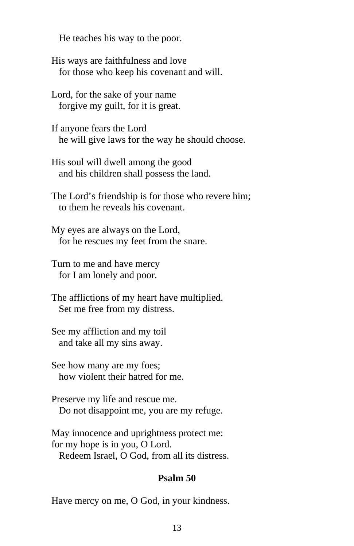He teaches his way to the poor.

His ways are faithfulness and love for those who keep his covenant and will.

Lord, for the sake of your name forgive my guilt, for it is great.

If anyone fears the Lord he will give laws for the way he should choose.

His soul will dwell among the good and his children shall possess the land.

The Lord's friendship is for those who revere him; to them he reveals his covenant.

My eyes are always on the Lord, for he rescues my feet from the snare.

Turn to me and have mercy for I am lonely and poor.

The afflictions of my heart have multiplied. Set me free from my distress.

See my affliction and my toil and take all my sins away.

See how many are my foes; how violent their hatred for me.

Preserve my life and rescue me. Do not disappoint me, you are my refuge.

May innocence and uprightness protect me: for my hope is in you, O Lord. Redeem Israel, O God, from all its distress.

#### **Psalm 50**

Have mercy on me, O God, in your kindness.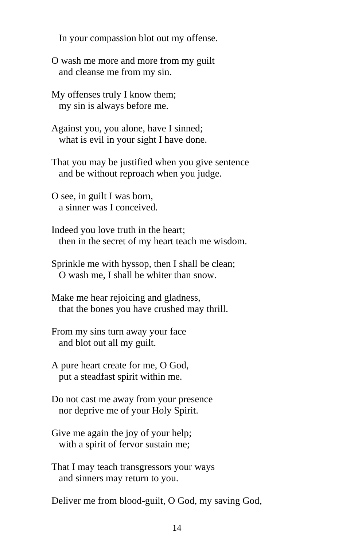In your compassion blot out my offense.

O wash me more and more from my guilt and cleanse me from my sin.

My offenses truly I know them; my sin is always before me.

Against you, you alone, have I sinned; what is evil in your sight I have done.

That you may be justified when you give sentence and be without reproach when you judge.

O see, in guilt I was born, a sinner was I conceived.

Indeed you love truth in the heart; then in the secret of my heart teach me wisdom.

Sprinkle me with hyssop, then I shall be clean; O wash me, I shall be whiter than snow.

Make me hear rejoicing and gladness, that the bones you have crushed may thrill.

From my sins turn away your face and blot out all my guilt.

A pure heart create for me, O God, put a steadfast spirit within me.

Do not cast me away from your presence nor deprive me of your Holy Spirit.

Give me again the joy of your help; with a spirit of fervor sustain me;

That I may teach transgressors your ways and sinners may return to you.

Deliver me from blood-guilt, O God, my saving God,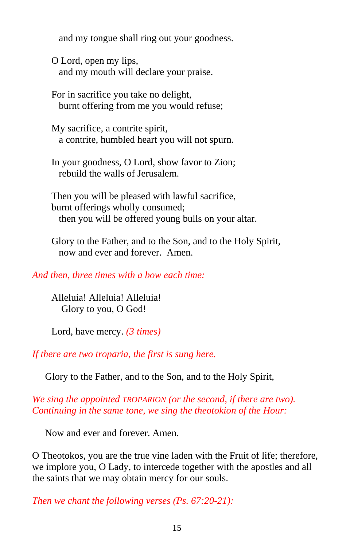and my tongue shall ring out your goodness.

O Lord, open my lips, and my mouth will declare your praise.

For in sacrifice you take no delight, burnt offering from me you would refuse;

My sacrifice, a contrite spirit, a contrite, humbled heart you will not spurn.

In your goodness, O Lord, show favor to Zion; rebuild the walls of Jerusalem.

Then you will be pleased with lawful sacrifice, burnt offerings wholly consumed; then you will be offered young bulls on your altar.

Glory to the Father, and to the Son, and to the Holy Spirit, now and ever and forever. Amen.

*And then, three times with a bow each time:*

Alleluia! Alleluia! Alleluia! Glory to you, O God!

Lord, have mercy. *(3 times)*

*If there are two troparia, the first is sung here.*

Glory to the Father, and to the Son, and to the Holy Spirit,

*We sing the appointed TROPARION (or the second, if there are two). Continuing in the same tone, we sing the theotokion of the Hour:*

Now and ever and forever. Amen.

O Theotokos, you are the true vine laden with the Fruit of life; therefore, we implore you, O Lady, to intercede together with the apostles and all the saints that we may obtain mercy for our souls.

*Then we chant the following verses (Ps. 67:20-21):*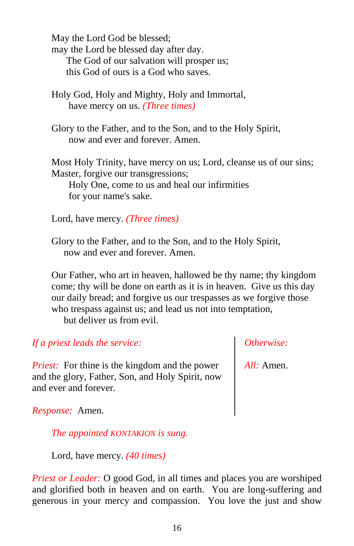May the Lord God be blessed; may the Lord be blessed day after day. The God of our salvation will prosper us; this God of ours is a God who saves.

- Holy God, Holy and Mighty, Holy and Immortal, have mercy on us. *(Three times)*
- Glory to the Father, and to the Son, and to the Holy Spirit, now and ever and forever. Amen.

Most Holy Trinity, have mercy on us; Lord, cleanse us of our sins; Master, forgive our transgressions;

 Holy One, come to us and heal our infirmities for your name's sake.

Lord, have mercy. *(Three times)*

Glory to the Father, and to the Son, and to the Holy Spirit, now and ever and forever. Amen.

Our Father, who art in heaven, hallowed be thy name; thy kingdom come; thy will be done on earth as it is in heaven. Give us this day our daily bread; and forgive us our trespasses as we forgive those who trespass against us; and lead us not into temptation, but deliver us from evil.

*If a priest leads the service:*

*Priest:* For thine is the kingdom and the power and the glory, Father, Son, and Holy Spirit, now and ever and forever.

*Otherwise:*

*All:* Amen.

*Response:* Amen.

*The appointed KONTAKION is sung.*

Lord, have mercy. *(40 times)*

*Priest or Leader:* O good God, in all times and places you are worshiped and glorified both in heaven and on earth. You are long-suffering and generous in your mercy and compassion. You love the just and show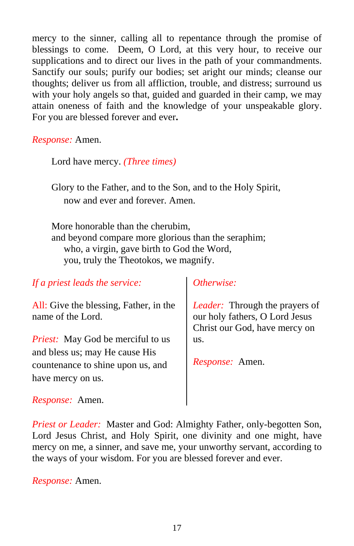mercy to the sinner, calling all to repentance through the promise of blessings to come. Deem, O Lord, at this very hour, to receive our supplications and to direct our lives in the path of your commandments. Sanctify our souls; purify our bodies; set aright our minds; cleanse our thoughts; deliver us from all affliction, trouble, and distress; surround us with your holy angels so that, guided and guarded in their camp, we may attain oneness of faith and the knowledge of your unspeakable glory. For you are blessed forever and ever**.**

*Response:* Amen.

Lord have mercy. *(Three times)*

Glory to the Father, and to the Son, and to the Holy Spirit, now and ever and forever. Amen.

More honorable than the cherubim, and beyond compare more glorious than the seraphim; who, a virgin, gave birth to God the Word, you, truly the Theotokos, we magnify.

*If a priest leads the service:*

All: Give the blessing, Father, in the name of the Lord.

*Priest:* May God be merciful to us and bless us; may He cause His countenance to shine upon us, and have mercy on us.

## *Otherwise:*

*Leader:* Through the prayers of our holy fathers, O Lord Jesus Christ our God, have mercy on us.

*Response:* Amen.

*Response:* Amen.

*Priest or Leader:* Master and God: Almighty Father, only-begotten Son, Lord Jesus Christ, and Holy Spirit, one divinity and one might, have mercy on me, a sinner, and save me, your unworthy servant, according to the ways of your wisdom. For you are blessed forever and ever.

*Response:* Amen.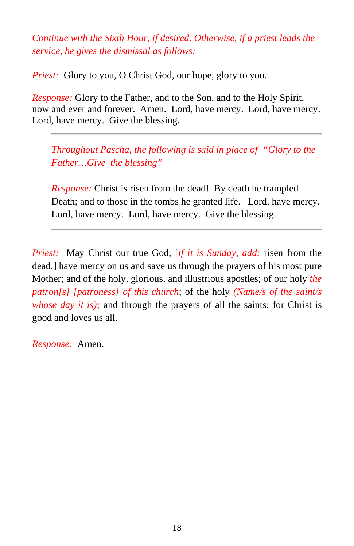*Continue with the Sixth Hour, if desired. Otherwise, if a priest leads the service, he gives the dismissal as follows:*

*Priest:* Glory to you, O Christ God, our hope, glory to you.

*Response:* Glory to the Father, and to the Son, and to the Holy Spirit, now and ever and forever. Amen. Lord, have mercy. Lord, have mercy. Lord, have mercy. Give the blessing.

*Throughout Pascha, the following is said in place of "Glory to the Father…Give the blessing"* 

*Response:* Christ is risen from the dead! By death he trampled Death; and to those in the tombs he granted life. Lord, have mercy. Lord, have mercy. Lord, have mercy. Give the blessing.

*Priest:* May Christ our true God, [*if it is Sunday, add:* risen from the dead,] have mercy on us and save us through the prayers of his most pure Mother; and of the holy, glorious, and illustrious apostles; of our holy *the patron[s] [patroness] of this church*; of the holy *(Name/s of the saint/s whose day it is)*; and through the prayers of all the saints; for Christ is good and loves us all.

*Response:* Amen.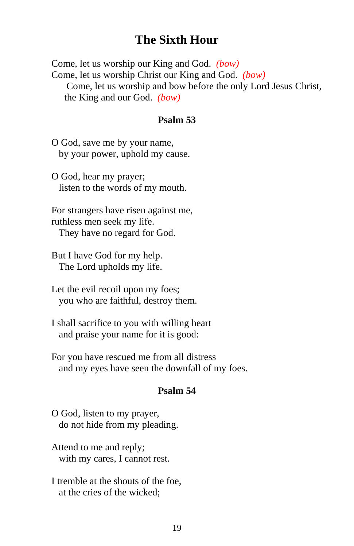## **The Sixth Hour**

Come, let us worship our King and God. *(bow)* Come, let us worship Christ our King and God. *(bow)* Come, let us worship and bow before the only Lord Jesus Christ, the King and our God. *(bow)*

#### **Psalm 53**

O God, save me by your name, by your power, uphold my cause.

O God, hear my prayer; listen to the words of my mouth.

For strangers have risen against me, ruthless men seek my life. They have no regard for God.

But I have God for my help. The Lord upholds my life.

Let the evil recoil upon my foes; you who are faithful, destroy them.

I shall sacrifice to you with willing heart and praise your name for it is good:

For you have rescued me from all distress and my eyes have seen the downfall of my foes.

#### **Psalm 54**

O God, listen to my prayer, do not hide from my pleading.

Attend to me and reply; with my cares, I cannot rest.

I tremble at the shouts of the foe, at the cries of the wicked;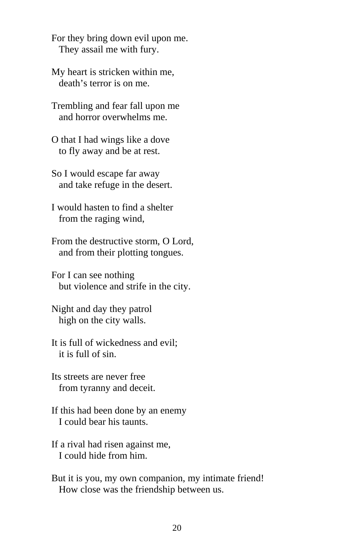For they bring down evil upon me. They assail me with fury.

My heart is stricken within me, death's terror is on me.

Trembling and fear fall upon me and horror overwhelms me.

O that I had wings like a dove to fly away and be at rest.

So I would escape far away and take refuge in the desert.

I would hasten to find a shelter from the raging wind,

From the destructive storm, O Lord, and from their plotting tongues.

For I can see nothing but violence and strife in the city.

Night and day they patrol high on the city walls.

It is full of wickedness and evil; it is full of sin.

Its streets are never free from tyranny and deceit.

If this had been done by an enemy I could bear his taunts.

If a rival had risen against me, I could hide from him.

But it is you, my own companion, my intimate friend! How close was the friendship between us.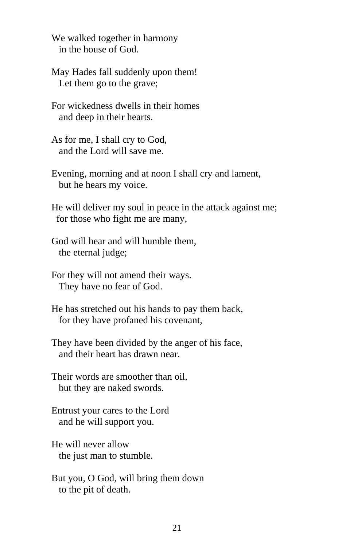We walked together in harmony in the house of God.

May Hades fall suddenly upon them! Let them go to the grave;

For wickedness dwells in their homes and deep in their hearts.

As for me, I shall cry to God, and the Lord will save me.

Evening, morning and at noon I shall cry and lament, but he hears my voice.

He will deliver my soul in peace in the attack against me; for those who fight me are many,

God will hear and will humble them, the eternal judge;

For they will not amend their ways. They have no fear of God.

He has stretched out his hands to pay them back, for they have profaned his covenant,

They have been divided by the anger of his face, and their heart has drawn near.

Their words are smoother than oil, but they are naked swords.

Entrust your cares to the Lord and he will support you.

He will never allow the just man to stumble.

But you, O God, will bring them down to the pit of death.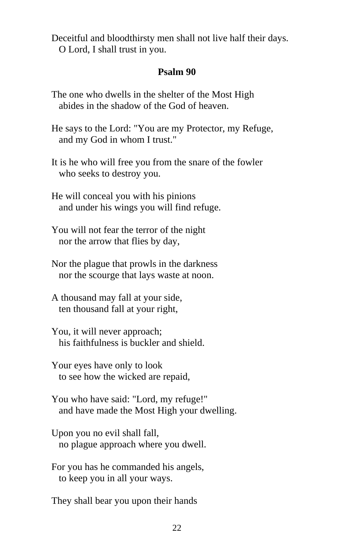Deceitful and bloodthirsty men shall not live half their days. O Lord, I shall trust in you.

#### **Psalm 90**

The one who dwells in the shelter of the Most High abides in the shadow of the God of heaven.

He says to the Lord: "You are my Protector, my Refuge, and my God in whom I trust."

It is he who will free you from the snare of the fowler who seeks to destroy you.

He will conceal you with his pinions and under his wings you will find refuge.

You will not fear the terror of the night nor the arrow that flies by day,

Nor the plague that prowls in the darkness nor the scourge that lays waste at noon.

A thousand may fall at your side, ten thousand fall at your right,

You, it will never approach; his faithfulness is buckler and shield.

Your eyes have only to look to see how the wicked are repaid,

You who have said: "Lord, my refuge!" and have made the Most High your dwelling.

Upon you no evil shall fall, no plague approach where you dwell.

For you has he commanded his angels, to keep you in all your ways.

They shall bear you upon their hands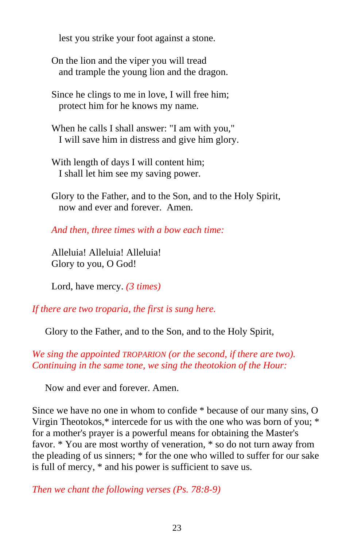lest you strike your foot against a stone.

On the lion and the viper you will tread and trample the young lion and the dragon.

Since he clings to me in love, I will free him; protect him for he knows my name.

When he calls I shall answer: "I am with you," I will save him in distress and give him glory.

With length of days I will content him; I shall let him see my saving power.

Glory to the Father, and to the Son, and to the Holy Spirit, now and ever and forever. Amen.

*And then, three times with a bow each time:*

Alleluia! Alleluia! Alleluia! Glory to you, O God!

Lord, have mercy. *(3 times)*

*If there are two troparia, the first is sung here.*

Glory to the Father, and to the Son, and to the Holy Spirit,

*We sing the appointed TROPARION (or the second, if there are two). Continuing in the same tone, we sing the theotokion of the Hour:*

Now and ever and forever. Amen.

Since we have no one in whom to confide \* because of our many sins, O Virgin Theotokos,\* intercede for us with the one who was born of you; \* for a mother's prayer is a powerful means for obtaining the Master's favor. \* You are most worthy of veneration, \* so do not turn away from the pleading of us sinners; \* for the one who willed to suffer for our sake is full of mercy, \* and his power is sufficient to save us.

*Then we chant the following verses (Ps. 78:8-9)*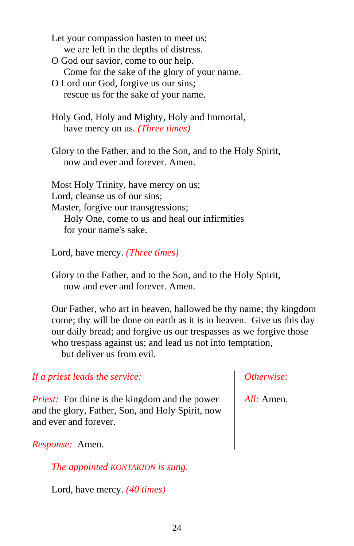Let your compassion hasten to meet us; we are left in the depths of distress.

- O God our savior, come to our help. Come for the sake of the glory of your name.
- O Lord our God, forgive us our sins; rescue us for the sake of your name.
- Holy God, Holy and Mighty, Holy and Immortal, have mercy on us. *(Three times)*
- Glory to the Father, and to the Son, and to the Holy Spirit, now and ever and forever. Amen.

Most Holy Trinity, have mercy on us; Lord, cleanse us of our sins; Master, forgive our transgressions; Holy One, come to us and heal our infirmities for your name's sake.

Lord, have mercy. *(Three times)*

Glory to the Father, and to the Son, and to the Holy Spirit, now and ever and forever. Amen.

Our Father, who art in heaven, hallowed be thy name; thy kingdom come; thy will be done on earth as it is in heaven. Give us this day our daily bread; and forgive us our trespasses as we forgive those who trespass against us; and lead us not into temptation, but deliver us from evil.

*If a priest leads the service:*

*Priest:* For thine is the kingdom and the power and the glory, Father, Son, and Holy Spirit, now and ever and forever.

*Response:* Amen.

*The appointed KONTAKION is sung.*

Lord, have mercy. *(40 times)*

## *Otherwise:*

*All:* Amen.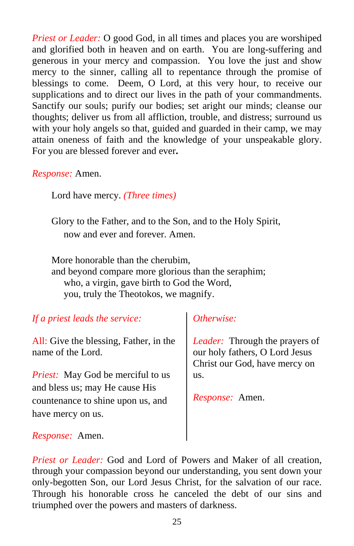*Priest or Leader:* O good God, in all times and places you are worshiped and glorified both in heaven and on earth. You are long-suffering and generous in your mercy and compassion. You love the just and show mercy to the sinner, calling all to repentance through the promise of blessings to come. Deem, O Lord, at this very hour, to receive our supplications and to direct our lives in the path of your commandments. Sanctify our souls; purify our bodies; set aright our minds; cleanse our thoughts; deliver us from all affliction, trouble, and distress; surround us with your holy angels so that, guided and guarded in their camp, we may attain oneness of faith and the knowledge of your unspeakable glory. For you are blessed forever and ever**.**

*Response:* Amen.

Lord have mercy. *(Three times)*

Glory to the Father, and to the Son, and to the Holy Spirit, now and ever and forever. Amen.

More honorable than the cherubim, and beyond compare more glorious than the seraphim; who, a virgin, gave birth to God the Word, you, truly the Theotokos, we magnify.

## *If a priest leads the service:*

All: Give the blessing, Father, in the name of the Lord.

*Priest:* May God be merciful to us and bless us; may He cause His countenance to shine upon us, and have mercy on us.

## *Otherwise:*

*Leader:* Through the prayers of our holy fathers, O Lord Jesus Christ our God, have mercy on us.

*Response:* Amen.

*Response:* Amen.

*Priest or Leader:* God and Lord of Powers and Maker of all creation, through your compassion beyond our understanding, you sent down your only-begotten Son, our Lord Jesus Christ, for the salvation of our race. Through his honorable cross he canceled the debt of our sins and triumphed over the powers and masters of darkness.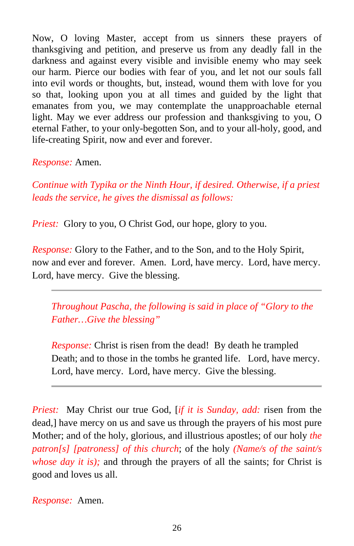Now, O loving Master, accept from us sinners these prayers of thanksgiving and petition, and preserve us from any deadly fall in the darkness and against every visible and invisible enemy who may seek our harm. Pierce our bodies with fear of you, and let not our souls fall into evil words or thoughts, but, instead, wound them with love for you so that, looking upon you at all times and guided by the light that emanates from you, we may contemplate the unapproachable eternal light. May we ever address our profession and thanksgiving to you, O eternal Father, to your only-begotten Son, and to your all-holy, good, and life-creating Spirit, now and ever and forever.

*Response:* Amen.

*Continue with Typika or the Ninth Hour, if desired. Otherwise, if a priest leads the service, he gives the dismissal as follows:*

*Priest:* Glory to you, O Christ God, our hope, glory to you.

*Response:* Glory to the Father, and to the Son, and to the Holy Spirit, now and ever and forever. Amen. Lord, have mercy. Lord, have mercy. Lord, have mercy. Give the blessing.

*Throughout Pascha, the following is said in place of "Glory to the Father…Give the blessing"* 

*Response:* Christ is risen from the dead! By death he trampled Death; and to those in the tombs he granted life. Lord, have mercy. Lord, have mercy. Lord, have mercy. Give the blessing.

*Priest:* May Christ our true God, [*if it is Sunday, add:* risen from the dead,] have mercy on us and save us through the prayers of his most pure Mother; and of the holy, glorious, and illustrious apostles; of our holy *the patron[s] [patroness] of this church*; of the holy *(Name/s of the saint/s whose day it is);* and through the prayers of all the saints; for Christ is good and loves us all.

*Response:* Amen.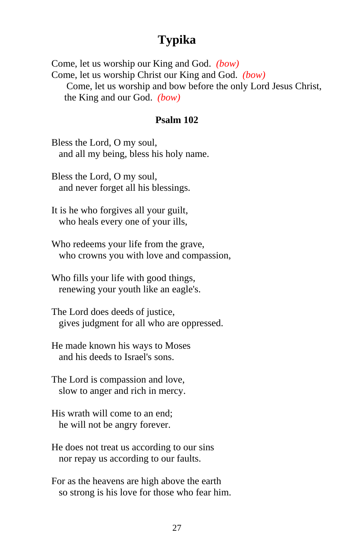# **Typika**

Come, let us worship our King and God. *(bow)* Come, let us worship Christ our King and God. *(bow)* Come, let us worship and bow before the only Lord Jesus Christ, the King and our God. *(bow)*

#### **Psalm 102**

Bless the Lord, O my soul, and all my being, bless his holy name.

Bless the Lord, O my soul, and never forget all his blessings.

It is he who forgives all your guilt, who heals every one of your ills,

Who redeems your life from the grave, who crowns you with love and compassion,

Who fills your life with good things, renewing your youth like an eagle's.

The Lord does deeds of justice, gives judgment for all who are oppressed.

He made known his ways to Moses and his deeds to Israel's sons.

The Lord is compassion and love, slow to anger and rich in mercy.

His wrath will come to an end; he will not be angry forever.

He does not treat us according to our sins nor repay us according to our faults.

For as the heavens are high above the earth so strong is his love for those who fear him.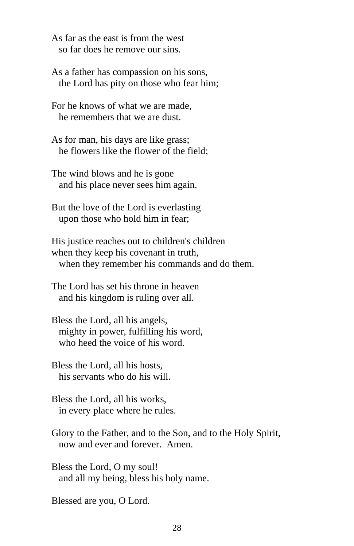As far as the east is from the west so far does he remove our sins.

As a father has compassion on his sons, the Lord has pity on those who fear him;

For he knows of what we are made, he remembers that we are dust.

As for man, his days are like grass; he flowers like the flower of the field;

The wind blows and he is gone and his place never sees him again.

But the love of the Lord is everlasting upon those who hold him in fear;

His justice reaches out to children's children when they keep his covenant in truth, when they remember his commands and do them.

The Lord has set his throne in heaven and his kingdom is ruling over all.

Bless the Lord, all his angels, mighty in power, fulfilling his word, who heed the voice of his word.

Bless the Lord, all his hosts, his servants who do his will.

Bless the Lord, all his works, in every place where he rules.

Glory to the Father, and to the Son, and to the Holy Spirit, now and ever and forever. Amen.

Bless the Lord, O my soul! and all my being, bless his holy name.

Blessed are you, O Lord.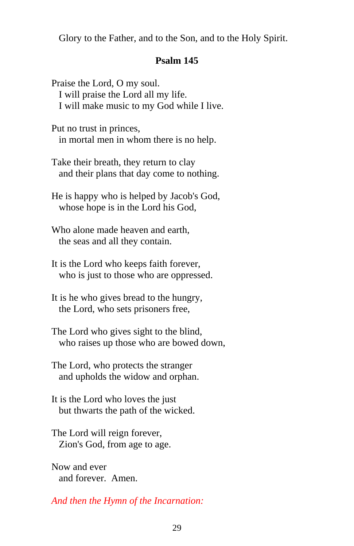Glory to the Father, and to the Son, and to the Holy Spirit.

#### **Psalm 145**

Praise the Lord, O my soul. I will praise the Lord all my life. I will make music to my God while I live.

Put no trust in princes, in mortal men in whom there is no help.

Take their breath, they return to clay and their plans that day come to nothing.

He is happy who is helped by Jacob's God, whose hope is in the Lord his God,

Who alone made heaven and earth, the seas and all they contain.

It is the Lord who keeps faith forever, who is just to those who are oppressed.

It is he who gives bread to the hungry, the Lord, who sets prisoners free,

The Lord who gives sight to the blind, who raises up those who are bowed down,

The Lord, who protects the stranger and upholds the widow and orphan.

It is the Lord who loves the just but thwarts the path of the wicked.

The Lord will reign forever, Zion's God, from age to age.

Now and ever and forever. Amen.

*And then the Hymn of the Incarnation:*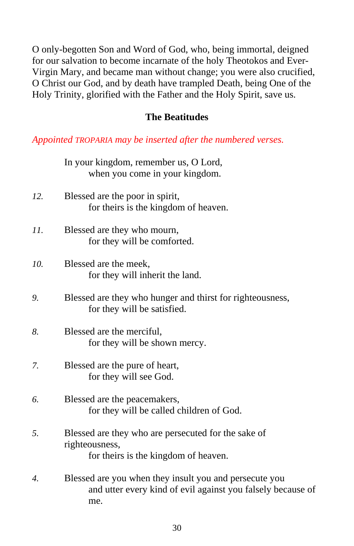O only-begotten Son and Word of God, who, being immortal, deigned for our salvation to become incarnate of the holy Theotokos and Ever-Virgin Mary, and became man without change; you were also crucified, O Christ our God, and by death have trampled Death, being One of the Holy Trinity, glorified with the Father and the Holy Spirit, save us.

## **The Beatitudes**

*Appointed TROPARIA may be inserted after the numbered verses.*

|                  | In your kingdom, remember us, O Lord,<br>when you come in your kingdom.                                               |
|------------------|-----------------------------------------------------------------------------------------------------------------------|
| 12.              | Blessed are the poor in spirit,<br>for theirs is the kingdom of heaven.                                               |
| 11.              | Blessed are they who mourn,<br>for they will be comforted.                                                            |
| 10.              | Blessed are the meek,<br>for they will inherit the land.                                                              |
| 9.               | Blessed are they who hunger and thirst for righteousness,<br>for they will be satisfied.                              |
| 8.               | Blessed are the merciful,<br>for they will be shown mercy.                                                            |
| 7.               | Blessed are the pure of heart,<br>for they will see God.                                                              |
| 6.               | Blessed are the peacemakers,<br>for they will be called children of God.                                              |
| 5.               | Blessed are they who are persecuted for the sake of<br>righteousness,<br>for theirs is the kingdom of heaven.         |
| $\overline{4}$ . | Blessed are you when they insult you and persecute you<br>and utter every kind of evil against you falsely because of |

me.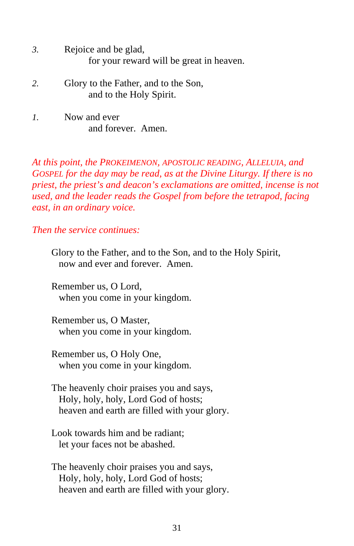- *3.* Rejoice and be glad, for your reward will be great in heaven.
- *2.* Glory to the Father, and to the Son, and to the Holy Spirit.
- *1.* Now and ever and forever. Amen.

*At this point, the PROKEIMENON, APOSTOLIC READING, ALLELUIA, and GOSPEL for the day may be read, as at the Divine Liturgy. If there is no priest, the priest's and deacon's exclamations are omitted, incense is not used, and the leader reads the Gospel from before the tetrapod, facing east, in an ordinary voice.*

*Then the service continues:*

Glory to the Father, and to the Son, and to the Holy Spirit, now and ever and forever. Amen.

Remember us, O Lord, when you come in your kingdom.

Remember us, O Master, when you come in your kingdom.

Remember us, O Holy One, when you come in your kingdom.

The heavenly choir praises you and says, Holy, holy, holy, Lord God of hosts; heaven and earth are filled with your glory.

Look towards him and be radiant; let your faces not be abashed.

The heavenly choir praises you and says, Holy, holy, holy, Lord God of hosts; heaven and earth are filled with your glory.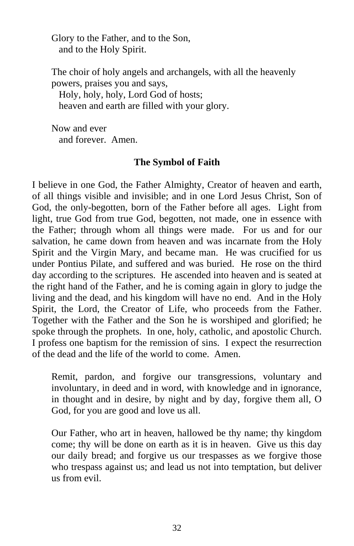Glory to the Father, and to the Son, and to the Holy Spirit.

The choir of holy angels and archangels, with all the heavenly powers, praises you and says,

 Holy, holy, holy, Lord God of hosts; heaven and earth are filled with your glory.

Now and ever and forever. Amen.

## **The Symbol of Faith**

I believe in one God, the Father Almighty, Creator of heaven and earth, of all things visible and invisible; and in one Lord Jesus Christ, Son of God, the only-begotten, born of the Father before all ages. Light from light, true God from true God, begotten, not made, one in essence with the Father; through whom all things were made. For us and for our salvation, he came down from heaven and was incarnate from the Holy Spirit and the Virgin Mary, and became man. He was crucified for us under Pontius Pilate, and suffered and was buried. He rose on the third day according to the scriptures. He ascended into heaven and is seated at the right hand of the Father, and he is coming again in glory to judge the living and the dead, and his kingdom will have no end. And in the Holy Spirit, the Lord, the Creator of Life, who proceeds from the Father. Together with the Father and the Son he is worshiped and glorified; he spoke through the prophets. In one, holy, catholic, and apostolic Church. I profess one baptism for the remission of sins. I expect the resurrection of the dead and the life of the world to come. Amen.

Remit, pardon, and forgive our transgressions, voluntary and involuntary, in deed and in word, with knowledge and in ignorance, in thought and in desire, by night and by day, forgive them all, O God, for you are good and love us all.

Our Father, who art in heaven, hallowed be thy name; thy kingdom come; thy will be done on earth as it is in heaven. Give us this day our daily bread; and forgive us our trespasses as we forgive those who trespass against us; and lead us not into temptation, but deliver us from evil.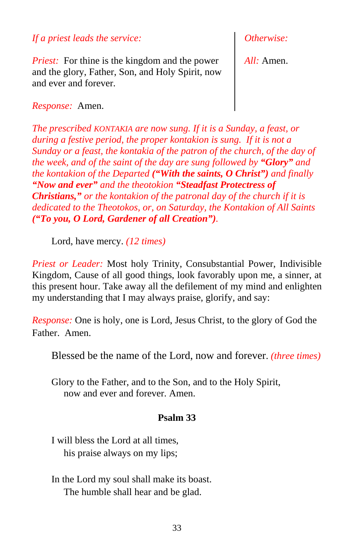*If a priest leads the service:*

*Priest:* For thine is the kingdom and the power and the glory, Father, Son, and Holy Spirit, now and ever and forever.

*Otherwise:*

*All:* Amen.

*Response:* Amen.

*The prescribed KONTAKIA are now sung. If it is a Sunday, a feast, or during a festive period, the proper kontakion is sung. If it is not a Sunday or a feast, the kontakia of the patron of the church, of the day of the week, and of the saint of the day are sung followed by "Glory" and the kontakion of the Departed ("With the saints, O Christ") and finally "Now and ever" and the theotokion "Steadfast Protectress of Christians," or the kontakion of the patronal day of the church if it is dedicated to the Theotokos, or, on Saturday, the Kontakion of All Saints ("To you, O Lord, Gardener of all Creation").*

Lord, have mercy. *(12 times)*

*Priest or Leader:* Most holy Trinity, Consubstantial Power, Indivisible Kingdom, Cause of all good things, look favorably upon me, a sinner, at this present hour. Take away all the defilement of my mind and enlighten my understanding that I may always praise, glorify, and say:

*Response:* One is holy, one is Lord, Jesus Christ, to the glory of God the Father. Amen.

Blessed be the name of the Lord, now and forever. *(three times)*

Glory to the Father, and to the Son, and to the Holy Spirit, now and ever and forever. Amen.

## **Psalm 33**

I will bless the Lord at all times, his praise always on my lips;

In the Lord my soul shall make its boast. The humble shall hear and be glad.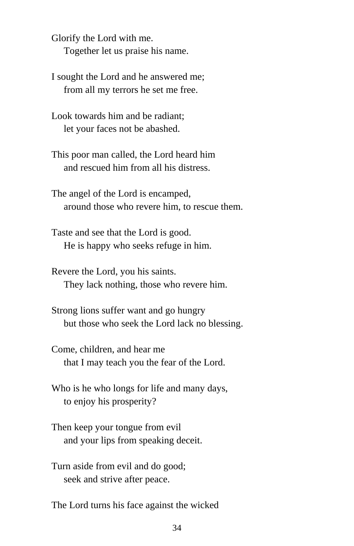Glorify the Lord with me. Together let us praise his name.

I sought the Lord and he answered me; from all my terrors he set me free.

Look towards him and be radiant; let your faces not be abashed.

This poor man called, the Lord heard him and rescued him from all his distress.

The angel of the Lord is encamped, around those who revere him, to rescue them.

Taste and see that the Lord is good. He is happy who seeks refuge in him.

Revere the Lord, you his saints. They lack nothing, those who revere him.

Strong lions suffer want and go hungry but those who seek the Lord lack no blessing.

Come, children, and hear me that I may teach you the fear of the Lord.

Who is he who longs for life and many days, to enjoy his prosperity?

Then keep your tongue from evil and your lips from speaking deceit.

Turn aside from evil and do good; seek and strive after peace.

The Lord turns his face against the wicked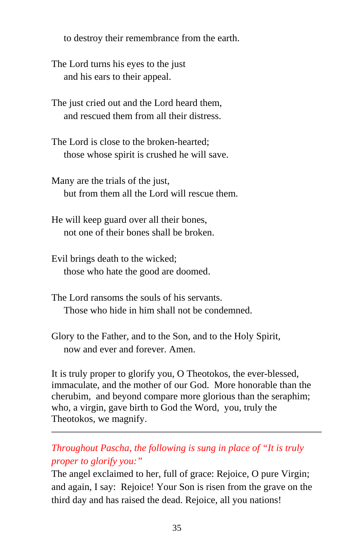to destroy their remembrance from the earth.

The Lord turns his eyes to the just and his ears to their appeal.

The just cried out and the Lord heard them, and rescued them from all their distress.

The Lord is close to the broken-hearted; those whose spirit is crushed he will save.

Many are the trials of the just, but from them all the Lord will rescue them.

He will keep guard over all their bones, not one of their bones shall be broken.

Evil brings death to the wicked; those who hate the good are doomed.

- The Lord ransoms the souls of his servants. Those who hide in him shall not be condemned.
- Glory to the Father, and to the Son, and to the Holy Spirit, now and ever and forever. Amen.

It is truly proper to glorify you, O Theotokos, the ever-blessed, immaculate, and the mother of our God. More honorable than the cherubim, and beyond compare more glorious than the seraphim; who, a virgin, gave birth to God the Word, you, truly the Theotokos, we magnify.

## *Throughout Pascha, the following is sung in place of "It is truly proper to glorify you:"*

The angel exclaimed to her, full of grace: Rejoice, O pure Virgin; and again, I say: Rejoice! Your Son is risen from the grave on the third day and has raised the dead. Rejoice, all you nations!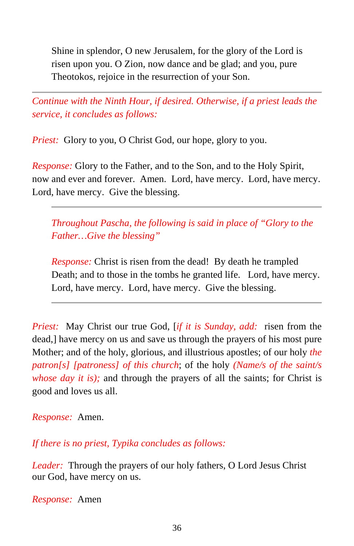Shine in splendor, O new Jerusalem, for the glory of the Lord is risen upon you. O Zion, now dance and be glad; and you, pure Theotokos, rejoice in the resurrection of your Son.

*Continue with the Ninth Hour, if desired. Otherwise, if a priest leads the service, it concludes as follows:*

*Priest:* Glory to you, O Christ God, our hope, glory to you.

*Response:* Glory to the Father, and to the Son, and to the Holy Spirit, now and ever and forever. Amen. Lord, have mercy. Lord, have mercy. Lord, have mercy. Give the blessing.

*Throughout Pascha, the following is said in place of "Glory to the Father…Give the blessing"* 

*Response:* Christ is risen from the dead! By death he trampled Death; and to those in the tombs he granted life. Lord, have mercy. Lord, have mercy. Lord, have mercy. Give the blessing.

*Priest:* May Christ our true God, [*if it is Sunday, add:* risen from the dead,] have mercy on us and save us through the prayers of his most pure Mother; and of the holy, glorious, and illustrious apostles; of our holy *the patron[s] [patroness] of this church*; of the holy *(Name/s of the saint/s whose day it is)*; and through the prayers of all the saints; for Christ is good and loves us all.

## *Response:* Amen.

*If there is no priest, Typika concludes as follows:*

*Leader:* Through the prayers of our holy fathers, O Lord Jesus Christ our God, have mercy on us.

*Response:* Amen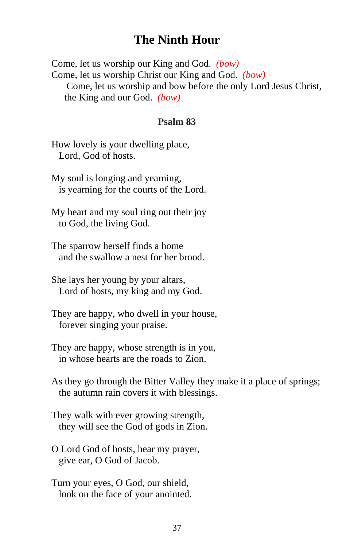# **The Ninth Hour**

Come, let us worship our King and God. *(bow)* Come, let us worship Christ our King and God. *(bow)* Come, let us worship and bow before the only Lord Jesus Christ, the King and our God. *(bow)*

#### **Psalm 83**

How lovely is your dwelling place, Lord, God of hosts.

My soul is longing and yearning, is yearning for the courts of the Lord.

My heart and my soul ring out their joy to God, the living God.

The sparrow herself finds a home and the swallow a nest for her brood.

She lays her young by your altars, Lord of hosts, my king and my God.

They are happy, who dwell in your house, forever singing your praise.

They are happy, whose strength is in you, in whose hearts are the roads to Zion.

As they go through the Bitter Valley they make it a place of springs; the autumn rain covers it with blessings.

They walk with ever growing strength, they will see the God of gods in Zion.

O Lord God of hosts, hear my prayer, give ear, O God of Jacob.

Turn your eyes, O God, our shield, look on the face of your anointed.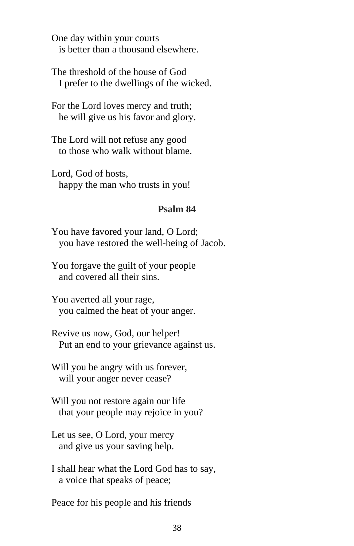One day within your courts is better than a thousand elsewhere.

The threshold of the house of God I prefer to the dwellings of the wicked.

For the Lord loves mercy and truth; he will give us his favor and glory.

The Lord will not refuse any good to those who walk without blame.

Lord, God of hosts, happy the man who trusts in you!

#### **Psalm 84**

You have favored your land, O Lord; you have restored the well-being of Jacob.

You forgave the guilt of your people and covered all their sins.

You averted all your rage, you calmed the heat of your anger.

Revive us now, God, our helper! Put an end to your grievance against us.

Will you be angry with us forever, will your anger never cease?

Will you not restore again our life that your people may rejoice in you?

Let us see, O Lord, your mercy and give us your saving help.

I shall hear what the Lord God has to say, a voice that speaks of peace;

Peace for his people and his friends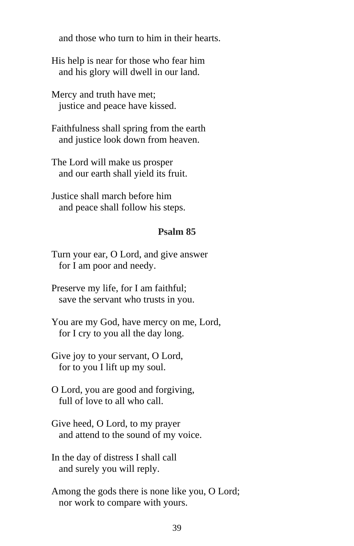and those who turn to him in their hearts.

His help is near for those who fear him and his glory will dwell in our land.

Mercy and truth have met; justice and peace have kissed.

Faithfulness shall spring from the earth and justice look down from heaven.

The Lord will make us prosper and our earth shall yield its fruit.

Justice shall march before him and peace shall follow his steps.

#### **Psalm 85**

Turn your ear, O Lord, and give answer for I am poor and needy.

Preserve my life, for I am faithful; save the servant who trusts in you.

You are my God, have mercy on me, Lord, for I cry to you all the day long.

Give joy to your servant, O Lord, for to you I lift up my soul.

O Lord, you are good and forgiving, full of love to all who call.

Give heed, O Lord, to my prayer and attend to the sound of my voice.

In the day of distress I shall call and surely you will reply.

Among the gods there is none like you, O Lord; nor work to compare with yours.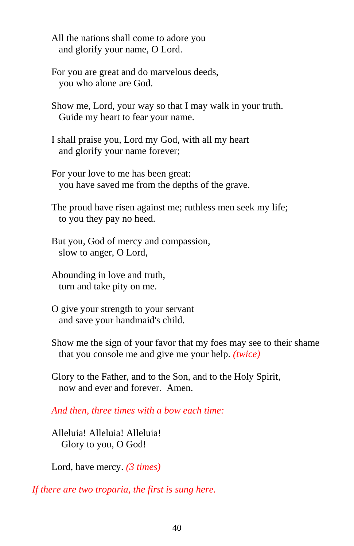All the nations shall come to adore you and glorify your name, O Lord.

For you are great and do marvelous deeds, you who alone are God.

Show me, Lord, your way so that I may walk in your truth. Guide my heart to fear your name.

I shall praise you, Lord my God, with all my heart and glorify your name forever;

For your love to me has been great: you have saved me from the depths of the grave.

The proud have risen against me; ruthless men seek my life; to you they pay no heed.

But you, God of mercy and compassion, slow to anger, O Lord,

Abounding in love and truth, turn and take pity on me.

O give your strength to your servant and save your handmaid's child.

Show me the sign of your favor that my foes may see to their shame that you console me and give me your help. *(twice)*

Glory to the Father, and to the Son, and to the Holy Spirit, now and ever and forever. Amen.

*And then, three times with a bow each time:*

Alleluia! Alleluia! Alleluia! Glory to you, O God!

Lord, have mercy. *(3 times)*

*If there are two troparia, the first is sung here.*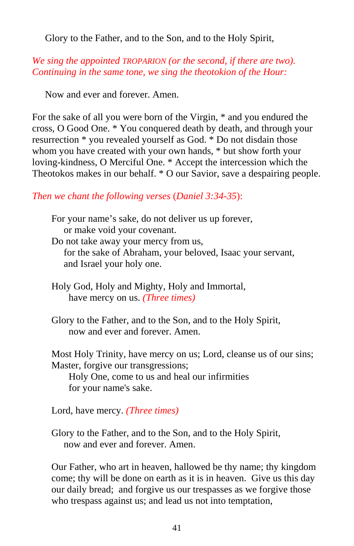Glory to the Father, and to the Son, and to the Holy Spirit,

## *We sing the appointed TROPARION (or the second, if there are two). Continuing in the same tone, we sing the theotokion of the Hour:*

Now and ever and forever. Amen.

For the sake of all you were born of the Virgin, \* and you endured the cross, O Good One. \* You conquered death by death, and through your resurrection \* you revealed yourself as God. \* Do not disdain those whom you have created with your own hands, \* but show forth your loving-kindness, O Merciful One. \* Accept the intercession which the Theotokos makes in our behalf. \* O our Savior, save a despairing people.

## *Then we chant the following verses* (*Daniel 3:34-35*):

For your name's sake, do not deliver us up forever, or make void your covenant. Do not take away your mercy from us, for the sake of Abraham, your beloved, Isaac your servant, and Israel your holy one.

- Holy God, Holy and Mighty, Holy and Immortal, have mercy on us. *(Three times)*
- Glory to the Father, and to the Son, and to the Holy Spirit, now and ever and forever. Amen.

Most Holy Trinity, have mercy on us; Lord, cleanse us of our sins; Master, forgive our transgressions;

 Holy One, come to us and heal our infirmities for your name's sake.

Lord, have mercy. *(Three times)*

Glory to the Father, and to the Son, and to the Holy Spirit, now and ever and forever. Amen.

Our Father, who art in heaven, hallowed be thy name; thy kingdom come; thy will be done on earth as it is in heaven. Give us this day our daily bread; and forgive us our trespasses as we forgive those who trespass against us; and lead us not into temptation,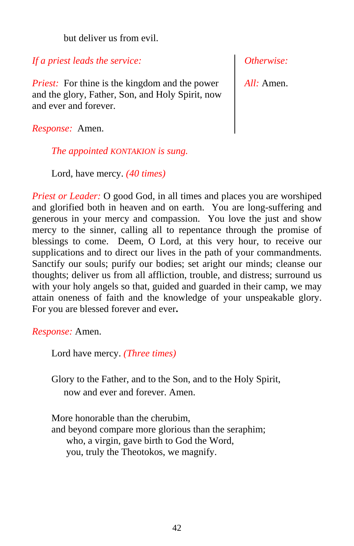but deliver us from evil.

*If a priest leads the service:*

*Priest:* For thine is the kingdom and the power and the glory, Father, Son, and Holy Spirit, now and ever and forever.

*Response:* Amen.

*The appointed KONTAKION is sung.*

Lord, have mercy. *(40 times)*

*Priest or Leader:* O good God, in all times and places you are worshiped and glorified both in heaven and on earth. You are long-suffering and generous in your mercy and compassion. You love the just and show mercy to the sinner, calling all to repentance through the promise of blessings to come. Deem, O Lord, at this very hour, to receive our supplications and to direct our lives in the path of your commandments. Sanctify our souls; purify our bodies; set aright our minds; cleanse our thoughts; deliver us from all affliction, trouble, and distress; surround us with your holy angels so that, guided and guarded in their camp, we may attain oneness of faith and the knowledge of your unspeakable glory. For you are blessed forever and ever**.**

*Response:* Amen.

Lord have mercy. *(Three times)*

Glory to the Father, and to the Son, and to the Holy Spirit, now and ever and forever. Amen.

More honorable than the cherubim, and beyond compare more glorious than the seraphim; who, a virgin, gave birth to God the Word, you, truly the Theotokos, we magnify.

*Otherwise:*

*All:* Amen.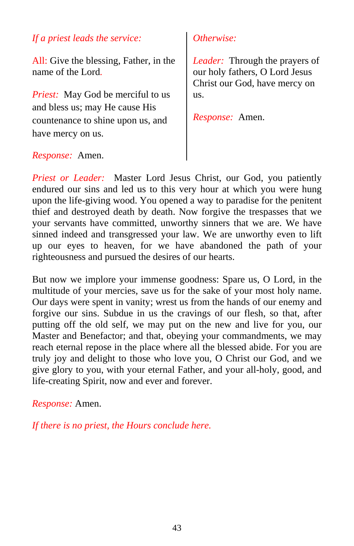## *If a priest leads the service:*

All: Give the blessing, Father, in the name of the Lord*.*

*Priest:* May God be merciful to us and bless us; may He cause His countenance to shine upon us, and have mercy on us.

## *Otherwise:*

*Leader:* Through the prayers of our holy fathers, O Lord Jesus Christ our God, have mercy on us.

*Response:* Amen.

## *Response:* Amen.

*Priest or Leader:* Master Lord Jesus Christ, our God, you patiently endured our sins and led us to this very hour at which you were hung upon the life-giving wood. You opened a way to paradise for the penitent thief and destroyed death by death. Now forgive the trespasses that we your servants have committed, unworthy sinners that we are. We have sinned indeed and transgressed your law. We are unworthy even to lift up our eyes to heaven, for we have abandoned the path of your righteousness and pursued the desires of our hearts.

But now we implore your immense goodness: Spare us, O Lord, in the multitude of your mercies, save us for the sake of your most holy name. Our days were spent in vanity; wrest us from the hands of our enemy and forgive our sins. Subdue in us the cravings of our flesh, so that, after putting off the old self, we may put on the new and live for you, our Master and Benefactor; and that, obeying your commandments, we may reach eternal repose in the place where all the blessed abide. For you are truly joy and delight to those who love you, O Christ our God, and we give glory to you, with your eternal Father, and your all-holy, good, and life-creating Spirit, now and ever and forever.

*Response:* Amen.

*If there is no priest, the Hours conclude here.*